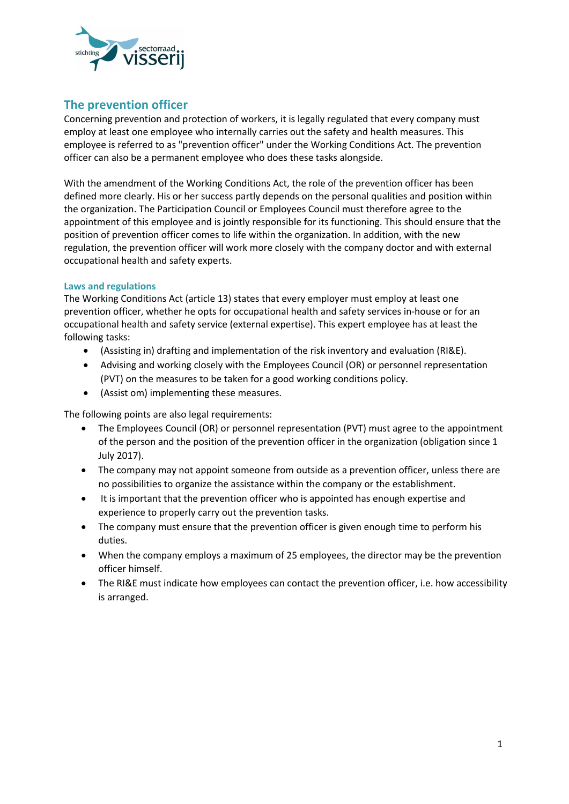

# **The prevention officer**

Concerning prevention and protection of workers, it is legally regulated that every company must employ at least one employee who internally carries out the safety and health measures. This employee is referred to as "prevention officer" under the Working Conditions Act. The prevention officer can also be a permanent employee who does these tasks alongside.

With the amendment of the Working Conditions Act, the role of the prevention officer has been defined more clearly. His or her success partly depends on the personal qualities and position within the organization. The Participation Council or Employees Council must therefore agree to the appointment of this employee and is jointly responsible for its functioning. This should ensure that the position of prevention officer comes to life within the organization. In addition, with the new regulation, the prevention officer will work more closely with the company doctor and with external occupational health and safety experts.

# **Laws and regulations**

The Working Conditions Act (article 13) states that every employer must employ at least one prevention officer, whether he opts for occupational health and safety services in-house or for an occupational health and safety service (external expertise). This expert employee has at least the following tasks:

- (Assisting in) drafting and implementation of the risk inventory and evaluation (RI&E).
- Advising and working closely with the Employees Council (OR) or personnel representation (PVT) on the measures to be taken for a good working conditions policy.
- (Assist om) implementing these measures.

The following points are also legal requirements:

- The Employees Council (OR) or personnel representation (PVT) must agree to the appointment of the person and the position of the prevention officer in the organization (obligation since 1 July 2017).
- The company may not appoint someone from outside as a prevention officer, unless there are no possibilities to organize the assistance within the company or the establishment.
- It is important that the prevention officer who is appointed has enough expertise and experience to properly carry out the prevention tasks.
- The company must ensure that the prevention officer is given enough time to perform his duties.
- When the company employs a maximum of 25 employees, the director may be the prevention officer himself.
- The RI&E must indicate how employees can contact the prevention officer, i.e. how accessibility is arranged.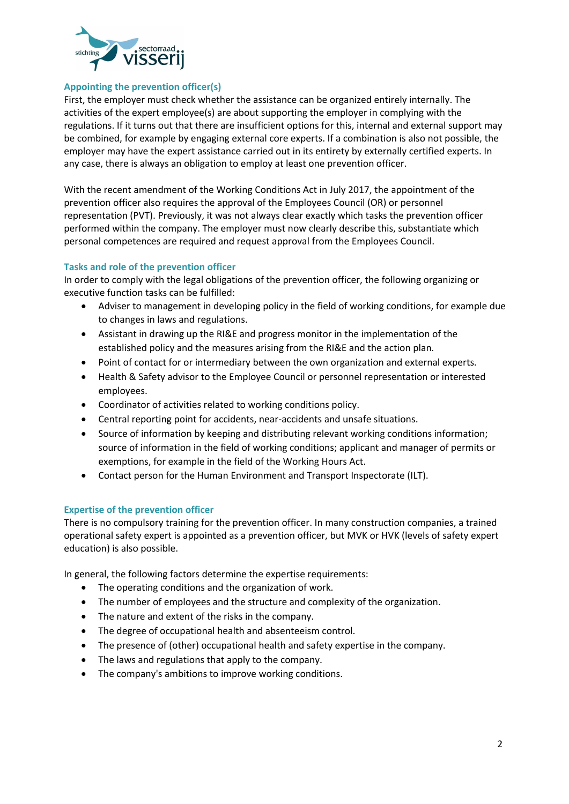

#### **Appointing the prevention officer(s)**

First, the employer must check whether the assistance can be organized entirely internally. The activities of the expert employee(s) are about supporting the employer in complying with the regulations. If it turns out that there are insufficient options for this, internal and external support may be combined, for example by engaging external core experts. If a combination is also not possible, the employer may have the expert assistance carried out in its entirety by externally certified experts. In any case, there is always an obligation to employ at least one prevention officer.

With the recent amendment of the Working Conditions Act in July 2017, the appointment of the prevention officer also requires the approval of the Employees Council (OR) or personnel representation (PVT). Previously, it was not always clear exactly which tasks the prevention officer performed within the company. The employer must now clearly describe this, substantiate which personal competences are required and request approval from the Employees Council.

### **Tasks and role of the prevention officer**

In order to comply with the legal obligations of the prevention officer, the following organizing or executive function tasks can be fulfilled:

- Adviser to management in developing policy in the field of working conditions, for example due to changes in laws and regulations.
- Assistant in drawing up the RI&E and progress monitor in the implementation of the established policy and the measures arising from the RI&E and the action plan.
- Point of contact for or intermediary between the own organization and external experts.
- Health & Safety advisor to the Employee Council or personnel representation or interested employees.
- Coordinator of activities related to working conditions policy.
- Central reporting point for accidents, near-accidents and unsafe situations.
- Source of information by keeping and distributing relevant working conditions information; source of information in the field of working conditions; applicant and manager of permits or exemptions, for example in the field of the Working Hours Act.
- Contact person for the Human Environment and Transport Inspectorate (ILT).

#### **Expertise of the prevention officer**

There is no compulsory training for the prevention officer. In many construction companies, a trained operational safety expert is appointed as a prevention officer, but MVK or HVK (levels of safety expert education) is also possible.

In general, the following factors determine the expertise requirements:

- The operating conditions and the organization of work.
- The number of employees and the structure and complexity of the organization.
- The nature and extent of the risks in the company.
- The degree of occupational health and absenteeism control.
- The presence of (other) occupational health and safety expertise in the company.
- The laws and regulations that apply to the company.
- The company's ambitions to improve working conditions.